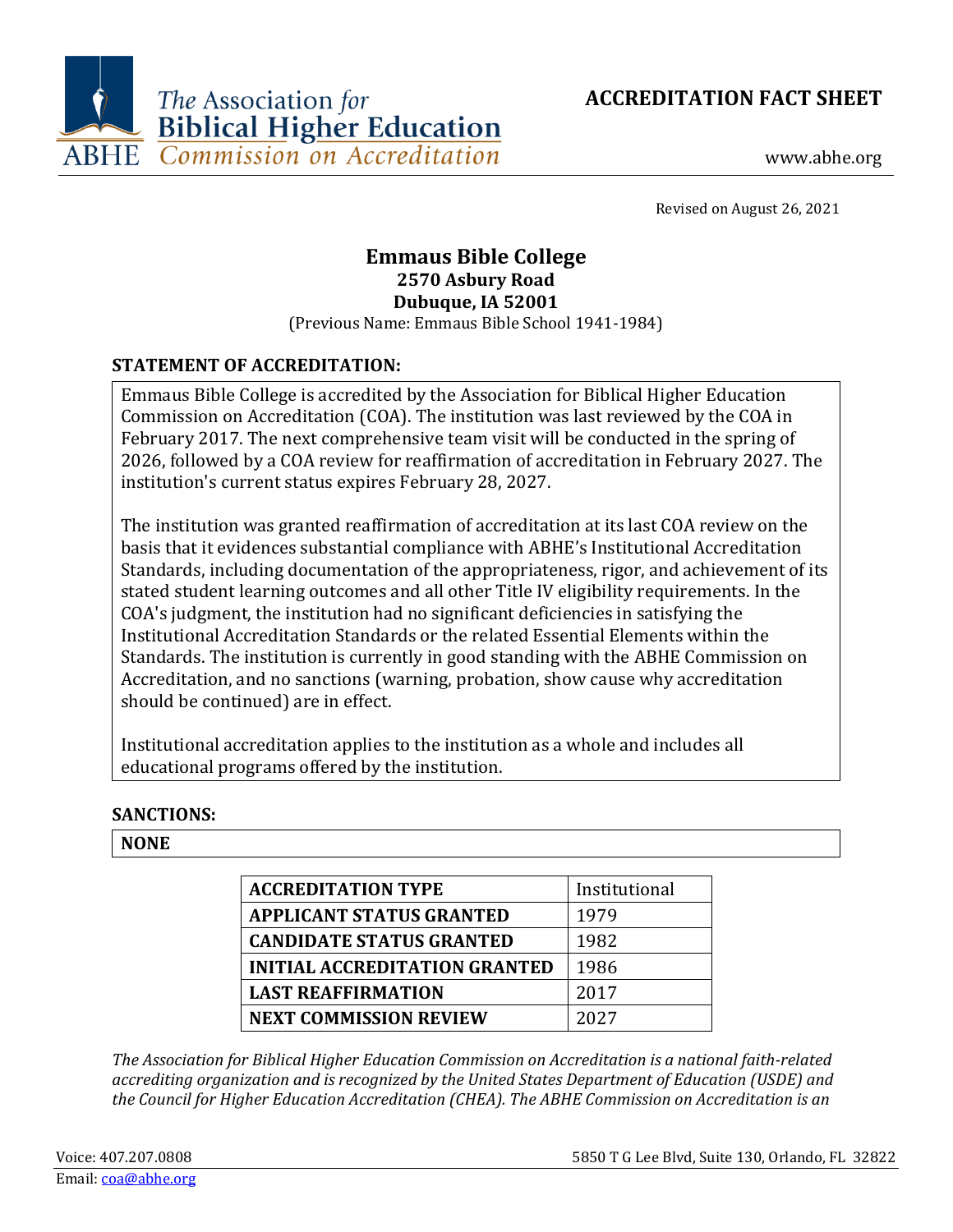



Revised on August 26, 2021

# **Emmaus Bible College 2570 Asbury Road Dubuque, IA 52001**

(Previous Name: Emmaus Bible School 1941-1984)

# **STATEMENT OF ACCREDITATION:**

Emmaus Bible College is accredited by the Association for Biblical Higher Education Commission on Accreditation (COA). The institution was last reviewed by the COA in February 2017. The next comprehensive team visit will be conducted in the spring of 2026, followed by a COA review for reaffirmation of accreditation in February 2027. The institution's current status expires February 28, 2027.

The institution was granted reaffirmation of accreditation at its last COA review on the basis that it evidences substantial compliance with ABHE's Institutional Accreditation Standards, including documentation of the appropriateness, rigor, and achievement of its stated student learning outcomes and all other Title IV eligibility requirements. In the COA's judgment, the institution had no significant deficiencies in satisfying the Institutional Accreditation Standards or the related Essential Elements within the Standards. The institution is currently in good standing with the ABHE Commission on Accreditation, and no sanctions (warning, probation, show cause why accreditation should be continued) are in effect.

Institutional accreditation applies to the institution as a whole and includes all educational programs offered by the institution.

# **SANCTIONS:**

# **NONE**

| <b>ACCREDITATION TYPE</b>            | Institutional |
|--------------------------------------|---------------|
| <b>APPLICANT STATUS GRANTED</b>      | 1979          |
| <b>CANDIDATE STATUS GRANTED</b>      | 1982          |
| <b>INITIAL ACCREDITATION GRANTED</b> | 1986          |
| <b>LAST REAFFIRMATION</b>            | 2017          |
| <b>NEXT COMMISSION REVIEW</b>        | 2027          |

*The Association for Biblical Higher Education Commission on Accreditation is a national faith-related accrediting organization and is recognized by the United States Department of Education (USDE) and the Council for Higher Education Accreditation (CHEA). The ABHE Commission on Accreditation is an*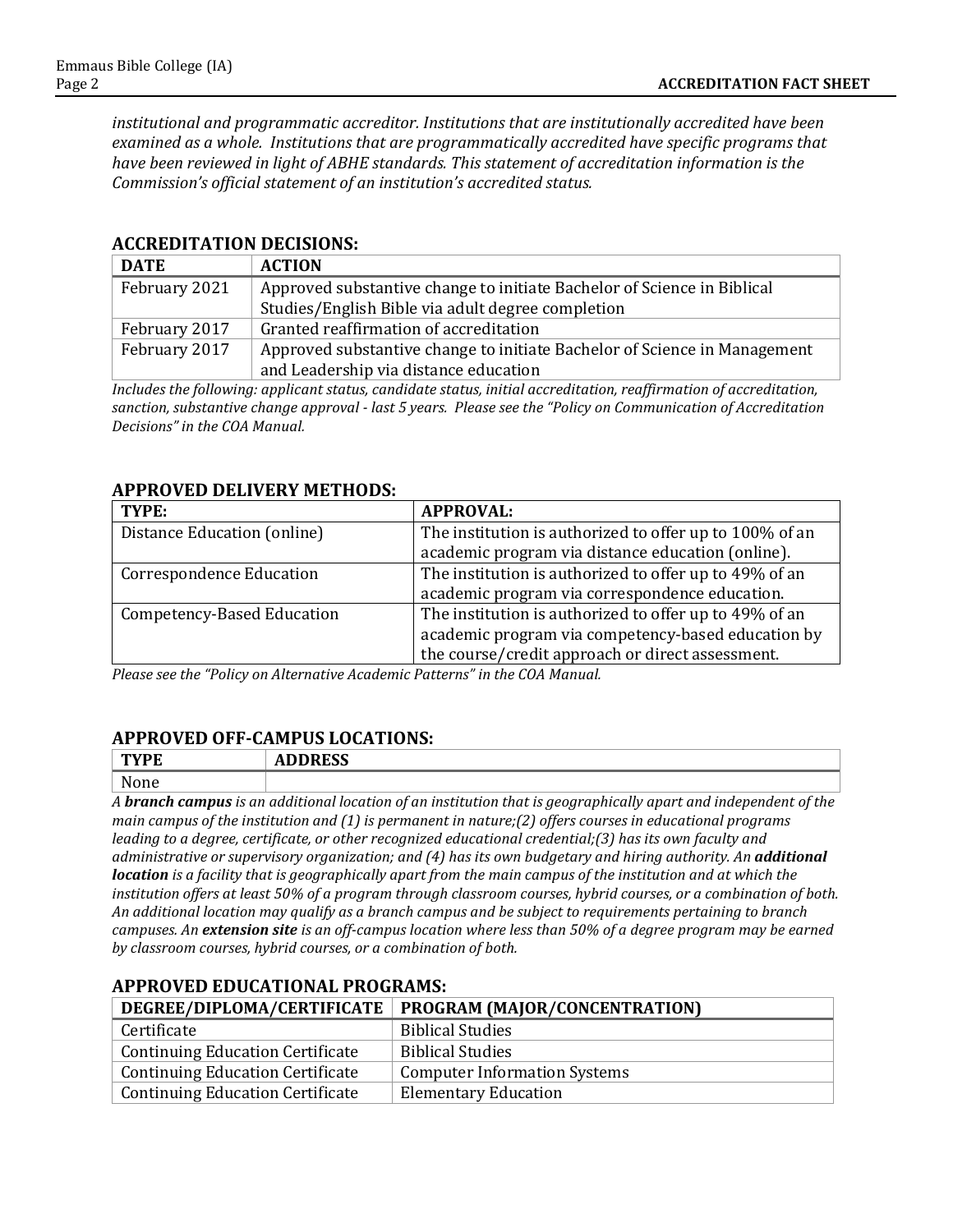*institutional and programmatic accreditor. Institutions that are institutionally accredited have been examined as a whole. Institutions that are programmatically accredited have specific programs that have been reviewed in light of ABHE standards. This statement of accreditation information is the Commission's official statement of an institution's accredited status.*

#### **ACCREDITATION DECISIONS:**

| <b>DATE</b>   | <b>ACTION</b>                                                             |
|---------------|---------------------------------------------------------------------------|
| February 2021 | Approved substantive change to initiate Bachelor of Science in Biblical   |
|               | Studies/English Bible via adult degree completion                         |
| February 2017 | Granted reaffirmation of accreditation                                    |
| February 2017 | Approved substantive change to initiate Bachelor of Science in Management |
|               | and Leadership via distance education                                     |

*Includes the following: applicant status, candidate status, initial accreditation, reaffirmation of accreditation, sanction, substantive change approval - last 5 years. Please see the "Policy on Communication of Accreditation Decisions" in the COA Manual.*

### **APPROVED DELIVERY METHODS:**

| TYPE:                             | <b>APPROVAL:</b>                                        |
|-----------------------------------|---------------------------------------------------------|
| Distance Education (online)       | The institution is authorized to offer up to 100% of an |
|                                   | academic program via distance education (online).       |
| <b>Correspondence Education</b>   | The institution is authorized to offer up to 49% of an  |
|                                   | academic program via correspondence education.          |
| <b>Competency-Based Education</b> | The institution is authorized to offer up to 49% of an  |
|                                   | academic program via competency-based education by      |
|                                   | the course/credit approach or direct assessment.        |

*Please see the "Policy on Alternative Academic Patterns" in the COA Manual.*

# **APPROVED OFF-CAMPUS LOCATIONS:**

| mx/m                     | 10000  |
|--------------------------|--------|
| <u>ті.</u>               | AL     |
|                          | ננשמעי |
| <b>NT</b><br><b>NONE</b> |        |

*A branch campus is an additional location of an institution that is geographically apart and independent of the main campus of the institution and (1) is permanent in nature;(2) offers courses in educational programs leading to a degree, certificate, or other recognized educational credential;(3) has its own faculty and administrative or supervisory organization; and (4) has its own budgetary and hiring authority. An additional location is a facility that is geographically apart from the main campus of the institution and at which the institution offers at least 50% of a program through classroom courses, hybrid courses, or a combination of both. An additional location may qualify as a branch campus and be subject to requirements pertaining to branch campuses. An extension site is an off-campus location where less than 50% of a degree program may be earned by classroom courses, hybrid courses, or a combination of both.*

|                                         | DEGREE/DIPLOMA/CERTIFICATE   PROGRAM (MAJOR/CONCENTRATION) |
|-----------------------------------------|------------------------------------------------------------|
| Certificate                             | <b>Biblical Studies</b>                                    |
| <b>Continuing Education Certificate</b> | <b>Biblical Studies</b>                                    |
| <b>Continuing Education Certificate</b> | <b>Computer Information Systems</b>                        |
| <b>Continuing Education Certificate</b> | <b>Elementary Education</b>                                |

### **APPROVED EDUCATIONAL PROGRAMS:**